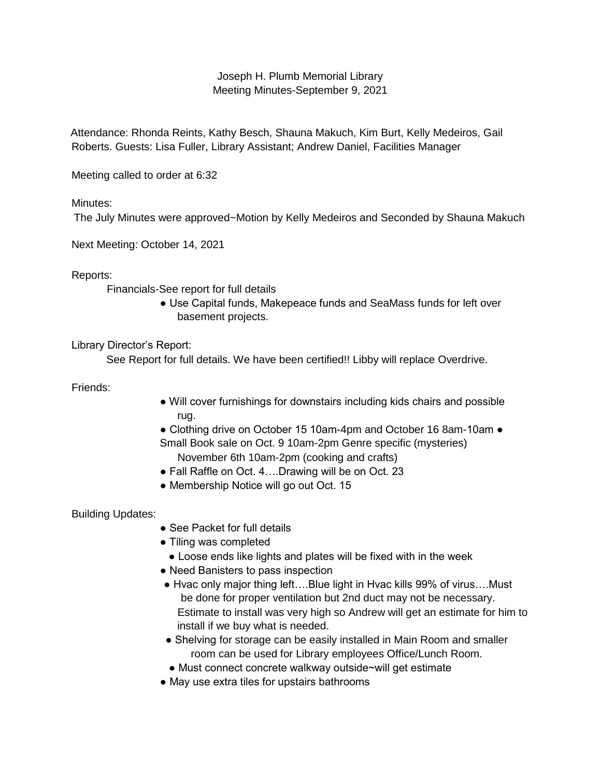## Joseph H. Plumb Memorial Library Meeting Minutes-September 9, 2021

Attendance: Rhonda Reints, Kathy Besch, Shauna Makuch, Kim Burt, Kelly Medeiros, Gail Roberts. Guests: Lisa Fuller, Library Assistant; Andrew Daniel, Facilities Manager

Meeting called to order at 6:32

Minutes:

The July Minutes were approved~Motion by Kelly Medeiros and Seconded by Shauna Makuch

Next Meeting: October 14, 2021

Reports:

Financials-See report for full details

● Use Capital funds, Makepeace funds and SeaMass funds for left over basement projects.

Library Director's Report:

See Report for full details. We have been certified!! Libby will replace Overdrive.

Friends:

● Will cover furnishings for downstairs including kids chairs and possible rug.

● Clothing drive on October 15 10am-4pm and October 16 8am-10am ● Small Book sale on Oct. 9 10am-2pm Genre specific (mysteries) November 6th 10am-2pm (cooking and crafts)

- Fall Raffle on Oct. 4....Drawing will be on Oct. 23
- Membership Notice will go out Oct. 15

Building Updates:

- See Packet for full details
- Tiling was completed
	- Loose ends like lights and plates will be fixed with in the week
- Need Banisters to pass inspection
- Hyac only major thing left....Blue light in Hyac kills 99% of virus....Must be done for proper ventilation but 2nd duct may not be necessary. Estimate to install was very high so Andrew will get an estimate for him to install if we buy what is needed.
- Shelving for storage can be easily installed in Main Room and smaller room can be used for Library employees Office/Lunch Room.
- Must connect concrete walkway outside~will get estimate
- May use extra tiles for upstairs bathrooms